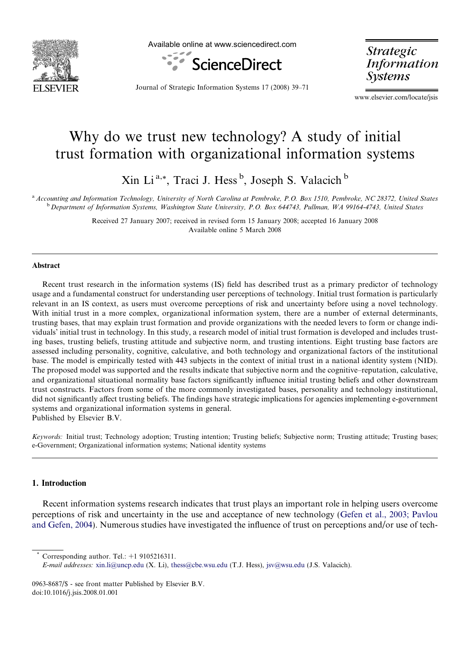

Available online at www.sciencedirect.com



**Strategic Information** Systems

Journal of Strategic Information Systems 17 (2008) 39–71

www.elsevier.com/locate/jsis

## Why do we trust new technology? A study of initial trust formation with organizational information systems

Xin Li<sup>a,\*</sup>, Traci J. Hess<sup>b</sup>, Joseph S. Valacich<sup>b</sup>

<sup>a</sup> Accounting and Information Technology, University of North Carolina at Pembroke, P.O. Box 1510, Pembroke, NC 28372, United States **b** Department of Information Systems, Washington State University, P.O. Box 644743, Pullman, WA 99164-4743, United States

> Received 27 January 2007; received in revised form 15 January 2008; accepted 16 January 2008 Available online 5 March 2008

## Abstract

Recent trust research in the information systems (IS) field has described trust as a primary predictor of technology usage and a fundamental construct for understanding user perceptions of technology. Initial trust formation is particularly relevant in an IS context, as users must overcome perceptions of risk and uncertainty before using a novel technology. With initial trust in a more complex, organizational information system, there are a number of external determinants, trusting bases, that may explain trust formation and provide organizations with the needed levers to form or change individuals' initial trust in technology. In this study, a research model of initial trust formation is developed and includes trusting bases, trusting beliefs, trusting attitude and subjective norm, and trusting intentions. Eight trusting base factors are assessed including personality, cognitive, calculative, and both technology and organizational factors of the institutional base. The model is empirically tested with 443 subjects in the context of initial trust in a national identity system (NID). The proposed model was supported and the results indicate that subjective norm and the cognitive–reputation, calculative, and organizational situational normality base factors significantly influence initial trusting beliefs and other downstream trust constructs. Factors from some of the more commonly investigated bases, personality and technology institutional, did not significantly affect trusting beliefs. The findings have strategic implications for agencies implementing e-government systems and organizational information systems in general.

Published by Elsevier B.V.

Keywords: Initial trust; Technology adoption; Trusting intention; Trusting beliefs; Subjective norm; Trusting attitude; Trusting bases; e-Government; Organizational information systems; National identity systems

## 1. Introduction

Recent information systems research indicates that trust plays an important role in helping users overcome perceptions of risk and uncertainty in the use and acceptance of new technology ([Gefen et al., 2003; Pavlou](#page--1-0) [and Gefen, 2004](#page--1-0)). Numerous studies have investigated the influence of trust on perceptions and/or use of tech-

Corresponding author. Tel.:  $+1$  9105216311.

0963-8687/\$ - see front matter Published by Elsevier B.V. doi:10.1016/j.jsis.2008.01.001

E-mail addresses: [xin.li@uncp.edu](mailto:xin.li@uncp.edu) (X. Li), [thess@cbe.wsu.edu](mailto:thess@cbe.wsu.edu) (T.J. Hess), [jsv@wsu.edu](mailto:jsv@wsu.edu) (J.S. Valacich).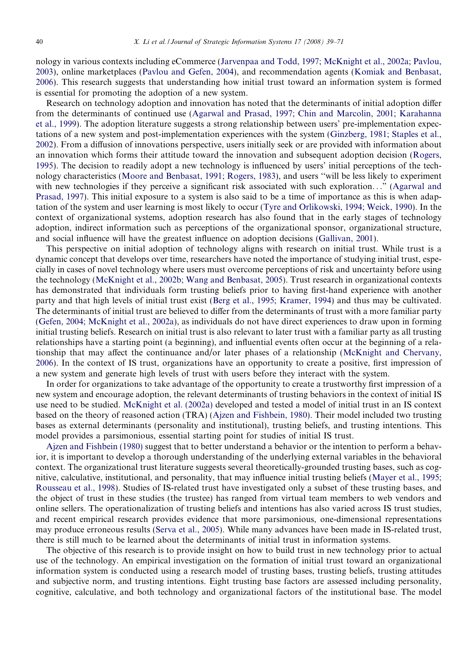nology in various contexts including eCommerce ([Jarvenpaa and Todd, 1997; McKnight et al., 2002a; Pavlou,](#page--1-0) [2003](#page--1-0)), online marketplaces ([Pavlou and Gefen, 2004\)](#page--1-0), and recommendation agents [\(Komiak and Benbasat,](#page--1-0) [2006](#page--1-0)). This research suggests that understanding how initial trust toward an information system is formed is essential for promoting the adoption of a new system.

Research on technology adoption and innovation has noted that the determinants of initial adoption differ from the determinants of continued use ([Agarwal and Prasad, 1997; Chin and Marcolin, 2001; Karahanna](#page--1-0) [et al., 1999\)](#page--1-0). The adoption literature suggests a strong relationship between users' pre-implementation expectations of a new system and post-implementation experiences with the system ([Ginzberg, 1981; Staples et al.,](#page--1-0) [2002](#page--1-0)). From a diffusion of innovations perspective, users initially seek or are provided with information about an innovation which forms their attitude toward the innovation and subsequent adoption decision [\(Rogers,](#page--1-0) [1995](#page--1-0)). The decision to readily adopt a new technology is influenced by users' initial perceptions of the technology characteristics ([Moore and Benbasat, 1991; Rogers, 1983\)](#page--1-0), and users ''will be less likely to experiment with new technologies if they perceive a significant risk associated with such exploration..." [\(Agarwal and](#page--1-0) [Prasad, 1997](#page--1-0)). This initial exposure to a system is also said to be a time of importance as this is when adaptation of the system and user learning is most likely to occur ([Tyre and Orlikowski, 1994; Weick, 1990\)](#page--1-0). In the context of organizational systems, adoption research has also found that in the early stages of technology adoption, indirect information such as perceptions of the organizational sponsor, organizational structure, and social influence will have the greatest influence on adoption decisions [\(Gallivan, 2001](#page--1-0)).

This perspective on initial adoption of technology aligns with research on initial trust. While trust is a dynamic concept that develops over time, researchers have noted the importance of studying initial trust, especially in cases of novel technology where users must overcome perceptions of risk and uncertainty before using the technology ([McKnight et al., 2002b; Wang and Benbasat, 2005\)](#page--1-0). Trust research in organizational contexts has demonstrated that individuals form trusting beliefs prior to having first-hand experience with another party and that high levels of initial trust exist ([Berg et al., 1995; Kramer, 1994\)](#page--1-0) and thus may be cultivated. The determinants of initial trust are believed to differ from the determinants of trust with a more familiar party ([Gefen, 2004; McKnight et al., 2002a\)](#page--1-0), as individuals do not have direct experiences to draw upon in forming initial trusting beliefs. Research on initial trust is also relevant to later trust with a familiar party as all trusting relationships have a starting point (a beginning), and influential events often occur at the beginning of a relationship that may affect the continuance and/or later phases of a relationship [\(McKnight and Chervany,](#page--1-0) [2006](#page--1-0)). In the context of IS trust, organizations have an opportunity to create a positive, first impression of a new system and generate high levels of trust with users before they interact with the system.

In order for organizations to take advantage of the opportunity to create a trustworthy first impression of a new system and encourage adoption, the relevant determinants of trusting behaviors in the context of initial IS use need to be studied. [McKnight et al. \(2002a\)](#page--1-0) developed and tested a model of initial trust in an IS context based on the theory of reasoned action (TRA) ([Ajzen and Fishbein, 1980\)](#page--1-0). Their model included two trusting bases as external determinants (personality and institutional), trusting beliefs, and trusting intentions. This model provides a parsimonious, essential starting point for studies of initial IS trust.

[Ajzen and Fishbein \(1980\)](#page--1-0) suggest that to better understand a behavior or the intention to perform a behavior, it is important to develop a thorough understanding of the underlying external variables in the behavioral context. The organizational trust literature suggests several theoretically-grounded trusting bases, such as cognitive, calculative, institutional, and personality, that may influence initial trusting beliefs ([Mayer et al., 1995;](#page--1-0) [Rousseau et al., 1998](#page--1-0)). Studies of IS-related trust have investigated only a subset of these trusting bases, and the object of trust in these studies (the trustee) has ranged from virtual team members to web vendors and online sellers. The operationalization of trusting beliefs and intentions has also varied across IS trust studies, and recent empirical research provides evidence that more parsimonious, one-dimensional representations may produce erroneous results ([Serva et al., 2005](#page--1-0)). While many advances have been made in IS-related trust, there is still much to be learned about the determinants of initial trust in information systems.

The objective of this research is to provide insight on how to build trust in new technology prior to actual use of the technology. An empirical investigation on the formation of initial trust toward an organizational information system is conducted using a research model of trusting bases, trusting beliefs, trusting attitudes and subjective norm, and trusting intentions. Eight trusting base factors are assessed including personality, cognitive, calculative, and both technology and organizational factors of the institutional base. The model